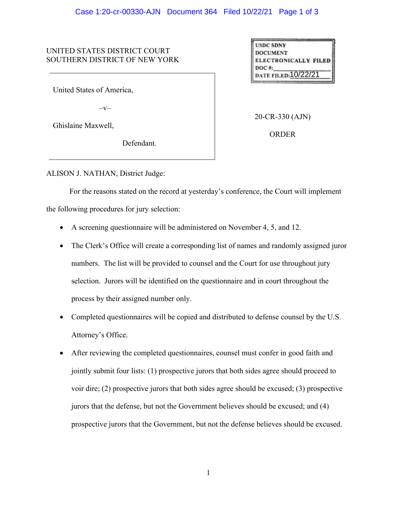## UNITED STATES DISTRICT COURT SOUTHERN DISTRICT OF NEW YORK

United States of America,

 $-V-$ 

Ghislaine Maxwell,

Defendant.

**USDC SDNY DOCUMENT ELECTRONICALLY FILED**  $DOC$ #: date filed:10/22/21

20-CR-330 (AJN)

ORDER

ALISON J. NATHAN, District Judge:

For the reasons stated on the record at yesterday's conference, the Court will implement the following procedures for jury selection:

- A screening questionnaire will be administered on November 4, 5, and 12.
- The Clerk's Office will create a corresponding list of names and randomly assigned juror numbers. The list will be provided to counsel and the Court for use throughout jury selection. Jurors will be identified on the questionnaire and in court throughout the process by their assigned number only.
- Completed questionnaires will be copied and distributed to defense counsel by the U.S. Attorney's Office.
- After reviewing the completed questionnaires, counsel must confer in good faith and jointly submit four lists: (1) prospective jurors that both sides agree should proceed to voir dire; (2) prospective jurors that both sides agree should be excused; (3) prospective jurors that the defense, but not the Government believes should be excused; and (4) prospective jurors that the Government, but not the defense believes should be excused.

1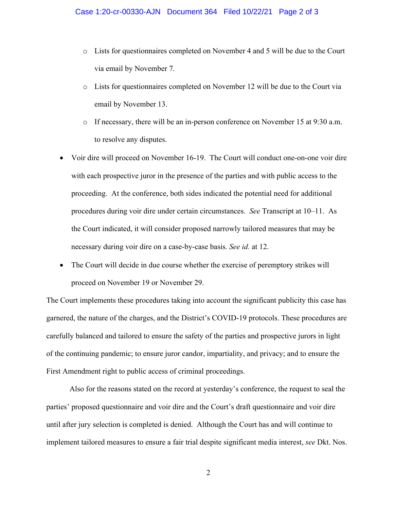- o Lists for questionnaires completed on November 4 and 5 will be due to the Court via email by November 7.
- o Lists for questionnaires completed on November 12 will be due to the Court via email by November 13.
- o If necessary, there will be an in-person conference on November 15 at 9:30 a.m. to resolve any disputes.
- Voir dire will proceed on November 16-19. The Court will conduct one-on-one voir dire with each prospective juror in the presence of the parties and with public access to the proceeding. At the conference, both sides indicated the potential need for additional procedures during voir dire under certain circumstances. *See* Transcript at 10–11. As the Court indicated, it will consider proposed narrowly tailored measures that may be necessary during voir dire on a case-by-case basis. *See id.* at 12.
- The Court will decide in due course whether the exercise of peremptory strikes will proceed on November 19 or November 29.

The Court implements these procedures taking into account the significant publicity this case has garnered, the nature of the charges, and the District's COVID-19 protocols. These procedures are carefully balanced and tailored to ensure the safety of the parties and prospective jurors in light of the continuing pandemic; to ensure juror candor, impartiality, and privacy; and to ensure the First Amendment right to public access of criminal proceedings.

Also for the reasons stated on the record at yesterday's conference, the request to seal the parties' proposed questionnaire and voir dire and the Court's draft questionnaire and voir dire until after jury selection is completed is denied. Although the Court has and will continue to implement tailored measures to ensure a fair trial despite significant media interest, *see* Dkt. Nos.